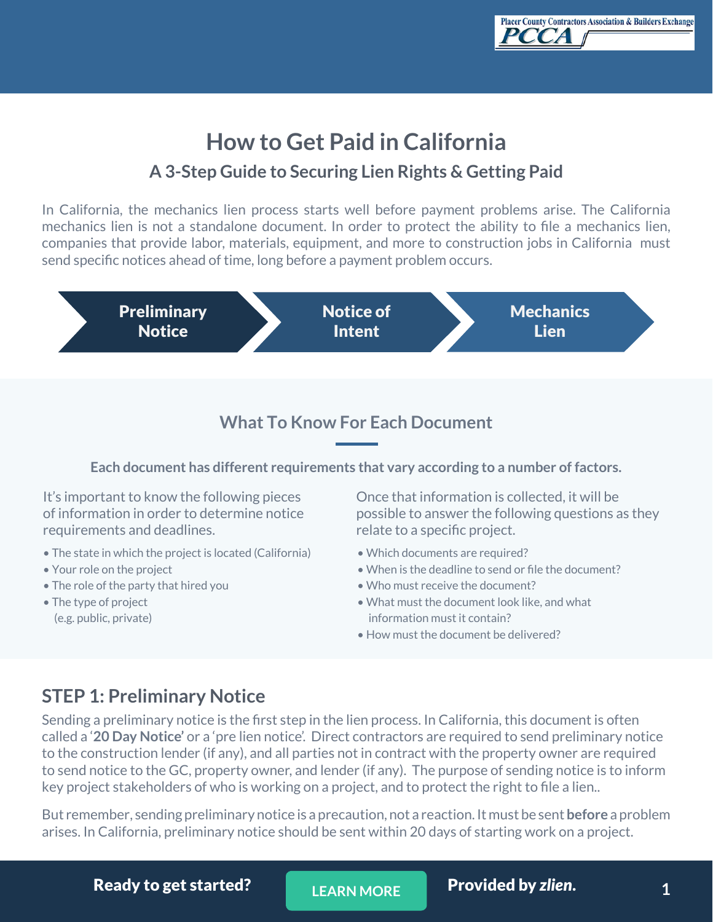

# **How to Get Paid in California A 3-Step Guide to Securing Lien Rights & Getting Paid**

In California, the mechanics lien process starts well before payment problems arise. The California mechanics lien is not a standalone document. In order to protect the ability to file a mechanics lien, companies that provide labor, materials, equipment, and more to construction jobs in California must send specific notices ahead of time, long before a payment problem occurs.



### **What To Know For Each Document**

**Each document has different requirements that vary according to a number of factors.**

It's important to know the following pieces of information in order to determine notice requirements and deadlines.

- The state in which the project is located (California)
- Your role on the project
- The role of the party that hired you
- The type of project (e.g. public, private)

Once that information is collected, it will be possible to answer the following questions as they relate to a specific project.

- Which documents are required?
- When is the deadline to send or file the document?
- Who must receive the document?
- What must the document look like, and what information must it contain?
- How must the document be delivered?

# **STEP 1: Preliminary Notice**

Sending a preliminary notice is the first step in the lien process. In California, this document is often called a '**20 Day Notice'** or a 'pre lien notice'. Direct contractors are required to send preliminary notice to the construction lender (if any), and all parties not in contract with the property owner are required to send notice to the GC, property owner, and lender (if any). The purpose of sending notice is to inform key project stakeholders of who is working on a project, and to protect the right to file a lien..

But remember, sending preliminary notice is a precaution, not a reaction. It must be sent **before** a problem arises. In California, preliminary notice should be sent within 20 days of starting work on a project.